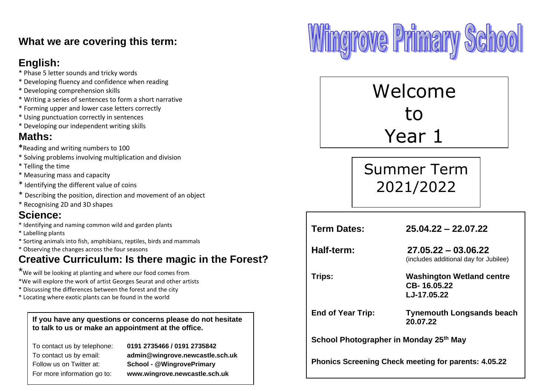## **What we are covering this term:**

## **English:**

- \* Phase 5 letter sounds and tricky words
- \* Developing fluency and confidence when reading
- \* Developing comprehension skills
- \* Writing a series of sentences to form a short narrative
- \* Forming upper and lower case letters correctly
- \* Using punctuation correctly in sentences
- \* Developing our independent writing skills

# **Maths:**

- **\***Reading and writing numbers to 100
- \* Solving problems involving multiplication and division
- \* Telling the time
- \* Measuring mass and capacity
- \* Identifying the different value of coins
- \* Describing the position, direction and movement of an object
- \* Recognising 2D and 3D shapes

## **Science:**

- \* Identifying and naming common wild and garden plants
- \* Labelling plants
- \* Sorting animals into fish, amphibians, reptiles, birds and mammals
- \* Observing the changes across the four seasons

# **Creative Curriculum: Is there magic in the Forest?**

\* We will be looking at planting and where our food comes from \*We will explore the work of artist Georges Seurat and other artists

- \* Discussing the differences between the forest and the city
- \* Locating where exotic plants can be found in the world

**If you have any questions or concerns please do not hesitate to talk to us or make an appointment at the office.** 

To contact us by telephone: **0191 2735466 / 0191 2735842** To contact us by email: **admin@wingrove.newcastle.sch.uk** Follow us on Twitter at: **School - @WingrovePrimary** For more information go to: **www.wingrove.newcastle.sch.uk**



Welcome to Year 1

Summer Term 2021/2022

| <b>Term Dates:</b>                                          | $25.04.22 - 22.07.22$                                          |  |
|-------------------------------------------------------------|----------------------------------------------------------------|--|
| Half-term:                                                  | $27.05.22 - 03.06.22$<br>(includes additional day for Jubilee) |  |
| Trips:                                                      | Washington Wetland centre<br>CB-16.05.22<br>LJ-17.05.22        |  |
| <b>End of Year Trip:</b>                                    | <b>Tynemouth Longsands beach</b><br>20.07.22                   |  |
| School Photographer in Monday 25th May                      |                                                                |  |
| <b>Phonics Screening Check meeting for parents: 4.05.22</b> |                                                                |  |